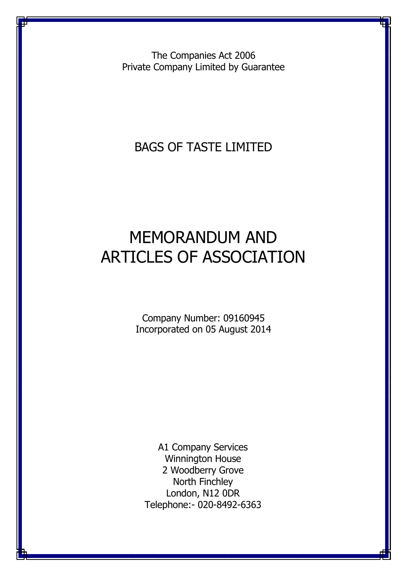The Companies Act 2006 Private Company Limited by Guarantee

# BAGS OF TASTE LIMITED

# MEMORANDUM AND ARTICLES OF ASSOCIATION

Company Number: 09160945 Incorporated on 05 August 2014

A1 Company Services Winnington House 2 Woodberry Grove North Finchley London, N12 0DR Telephone:- 020-8492-6363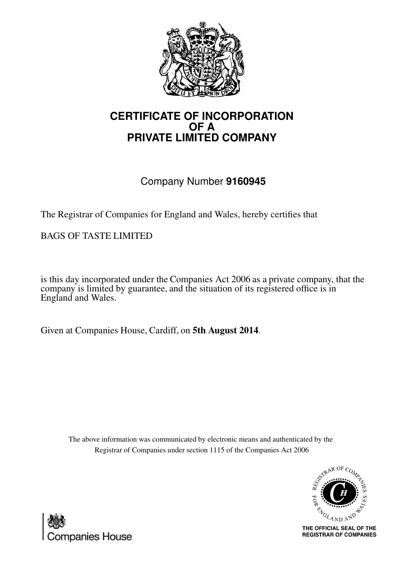

# **CERTIFICATE OF INCORPORATION OF A PRIVATE LIMITED COMPANY**

# Company Number **9160945**

The Registrar of Companies for England and Wales, hereby certifies that

BAGS OF TASTE LIMITED

is this day incorporated under the Companies Act 2006 as a private company, that the company is limited by guarantee, and the situation of its registered office is in England and Wales.

Given at Companies House, Cardiff, on **5th August 2014**.

The above information was communicated by electronic means and authenticated by the Registrar of Companies under section 1115 of the Companies Act 2006



THE OFFICIAL SEAL OF THE **REGISTRAR OF COMPANIES** 

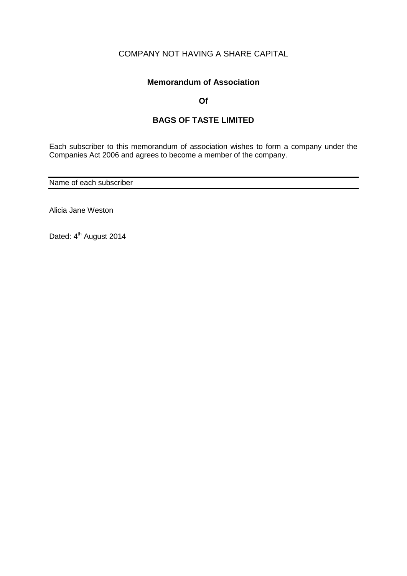# COMPANY NOT HAVING A SHARE CAPITAL

# **Memorandum of Association**

### **Of**

# **BAGS OF TASTE LIMITED**

Each subscriber to this memorandum of association wishes to form a company under the Companies Act 2006 and agrees to become a member of the company.

Name of each subscriber

Alicia Jane Weston

Dated: 4<sup>th</sup> August 2014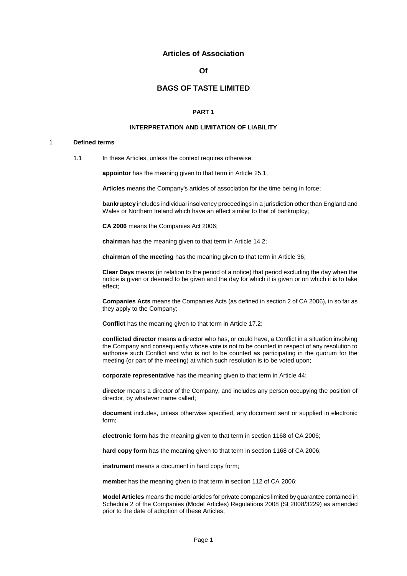#### **Articles of Association**

### **Of**

### **BAGS OF TASTE LIMITED**

#### **PART 1**

#### **INTERPRETATION AND LIMITATION OF LIABILITY**

#### 1 **Defined terms**

1.1 In these Articles, unless the context requires otherwise:

**appointor** has the meaning given to that term in Article [25.1;](#page-12-0)

**Articles** means the Company's articles of association for the time being in force;

**bankruptcy** includes individual insolvency proceedings in a jurisdiction other than England and Wales or Northern Ireland which have an effect similar to that of bankruptcy;

**CA 2006** means the Companies Act 2006;

**chairman** has the meaning given to that term in Articl[e 14.2;](#page-8-0)

**chairman of the meeting** has the meaning given to that term in Articl[e 36;](#page-15-0)

**Clear Days** means (in relation to the period of a notice) that period excluding the day when the notice is given or deemed to be given and the day for which it is given or on which it is to take effect;

**Companies Acts** means the Companies Acts (as defined in section 2 of CA 2006), in so far as they apply to the Company;

**Conflict** has the meaning given to that term in Article [17.2;](#page-9-0)

**conflicted director** means a director who has, or could have, a Conflict in a situation involving the Company and consequently whose vote is not to be counted in respect of any resolution to authorise such Conflict and who is not to be counted as participating in the quorum for the meeting (or part of the meeting) at which such resolution is to be voted upon;

**corporate representative** has the meaning given to that term in Article [44;](#page-19-0)

**director** means a director of the Company, and includes any person occupying the position of director, by whatever name called;

**document** includes, unless otherwise specified, any document sent or supplied in electronic form;

<span id="page-5-0"></span>**electronic form** has the meaning given to that term in section 1168 of CA 2006;

**hard copy form** has the meaning given to that term in section 1168 of CA 2006;

**instrument** means a document in hard copy form;

**member** has the meaning given to that term in section 112 of CA 2006;

**Model Articles** means the model articles for private companies limited by guarantee contained in Schedule 2 of the Companies (Model Articles) Regulations 2008 (SI 2008/3229) as amended prior to the date of adoption of these Articles;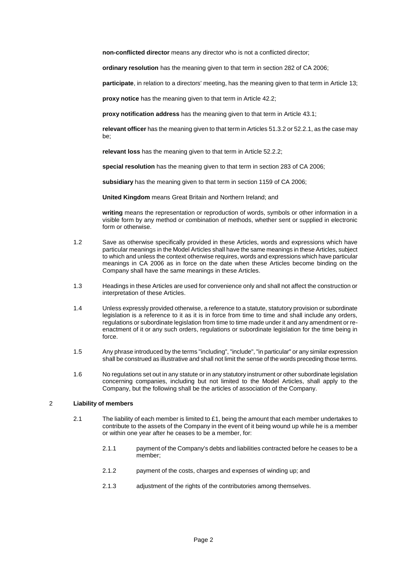**non-conflicted director** means any director who is not a conflicted director;

**ordinary resolution** has the meaning given to that term in section 282 of CA 2006;

**participate**, in relation to a directors' meeting, has the meaning given to that term in Article [13;](#page-8-1)

**proxy notice** has the meaning given to that term in Article [42.2;](#page-18-0)

**proxy notification address** has the meaning given to that term in Article [43.1;](#page-19-1)

**relevant officer** has the meaning given to that term in Article[s 51.3.2](#page-22-0) o[r 52.2.1,](#page-22-1) as the case may be;

**relevant loss** has the meaning given to that term in Articl[e 52.2.2;](#page-22-2)

**special resolution** has the meaning given to that term in section 283 of CA 2006;

**subsidiary** has the meaning given to that term in section 1159 of CA 2006;

**United Kingdom** means Great Britain and Northern Ireland; and

**writing** means the representation or reproduction of words, symbols or other information in a visible form by any method or combination of methods, whether sent or supplied in electronic form or otherwise.

- 1.2 Save as otherwise specifically provided in these Articles, words and expressions which have particular meanings in the Model Articles shall have the same meanings in these Articles, subject to which and unless the context otherwise requires, words and expressions which have particular meanings in CA 2006 as in force on the date when these Articles become binding on the Company shall have the same meanings in these Articles.
- 1.3 Headings in these Articles are used for convenience only and shall not affect the construction or interpretation of these Articles.
- 1.4 Unless expressly provided otherwise, a reference to a statute, statutory provision or subordinate legislation is a reference to it as it is in force from time to time and shall include any orders, regulations or subordinate legislation from time to time made under it and any amendment or reenactment of it or any such orders, regulations or subordinate legislation for the time being in force.
- 1.5 Any phrase introduced by the terms "including", "include", "in particular" or any similar expression shall be construed as illustrative and shall not limit the sense of the words preceding those terms.
- 1.6 No regulations set out in any statute or in any statutory instrument or other subordinate legislation concerning companies, including but not limited to the Model Articles, shall apply to the Company, but the following shall be the articles of association of the Company.

#### 2 **Liability of members**

- <span id="page-6-0"></span>2.1 The liability of each member is limited to £1, being the amount that each member undertakes to contribute to the assets of the Company in the event of it being wound up while he is a member or within one year after he ceases to be a member, for:
	- 2.1.1 payment of the Company's debts and liabilities contracted before he ceases to be a member;
	- 2.1.2 payment of the costs, charges and expenses of winding up; and
	- 2.1.3 adjustment of the rights of the contributories among themselves.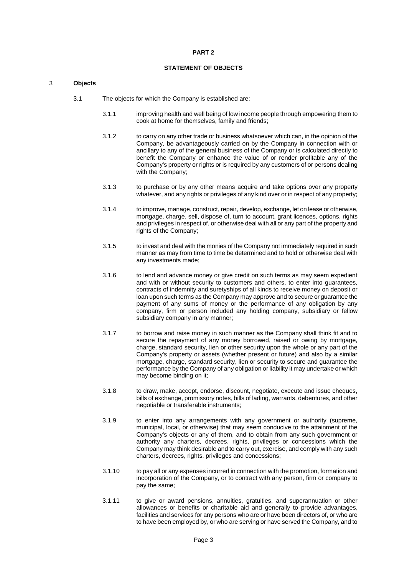#### **PART 2**

#### **STATEMENT OF OBJECTS**

#### <span id="page-7-0"></span>3 **Objects**

- <span id="page-7-1"></span>3.1 The objects for which the Company is established are:
	- 3.1.1 improving health and well being of low income people through empowering them to cook at home for themselves, family and friends;
	- 3.1.2 to carry on any other trade or business whatsoever which can, in the opinion of the Company, be advantageously carried on by the Company in connection with or ancillary to any of the general business of the Company or is calculated directly to benefit the Company or enhance the value of or render profitable any of the Company's property or rights or is required by any customers of or persons dealing with the Company;
	- 3.1.3 to purchase or by any other means acquire and take options over any property whatever, and any rights or privileges of any kind over or in respect of any property;
	- 3.1.4 to improve, manage, construct, repair, develop, exchange, let on lease or otherwise, mortgage, charge, sell, dispose of, turn to account, grant licences, options, rights and privileges in respect of, or otherwise deal with all or any part of the property and rights of the Company;
	- 3.1.5 to invest and deal with the monies of the Company not immediately required in such manner as may from time to time be determined and to hold or otherwise deal with any investments made;
	- 3.1.6 to lend and advance money or give credit on such terms as may seem expedient and with or without security to customers and others, to enter into guarantees, contracts of indemnity and suretyships of all kinds to receive money on deposit or loan upon such terms as the Company may approve and to secure or guarantee the payment of any sums of money or the performance of any obligation by any company, firm or person included any holding company, subsidiary or fellow subsidiary company in any manner;
	- 3.1.7 to borrow and raise money in such manner as the Company shall think fit and to secure the repayment of any money borrowed, raised or owing by mortgage, charge, standard security, lien or other security upon the whole or any part of the Company's property or assets (whether present or future) and also by a similar mortgage, charge, standard security, lien or security to secure and guarantee the performance by the Company of any obligation or liability it may undertake or which may become binding on it;
	- 3.1.8 to draw, make, accept, endorse, discount, negotiate, execute and issue cheques, bills of exchange, promissory notes, bills of lading, warrants, debentures, and other negotiable or transferable instruments;
	- 3.1.9 to enter into any arrangements with any government or authority (supreme, municipal, local, or otherwise) that may seem conducive to the attainment of the Company's objects or any of them, and to obtain from any such government or authority any charters, decrees, rights, privileges or concessions which the Company may think desirable and to carry out, exercise, and comply with any such charters, decrees, rights, privileges and concessions;
	- 3.1.10 to pay all or any expenses incurred in connection with the promotion, formation and incorporation of the Company, or to contract with any person, firm or company to pay the same;
	- 3.1.11 to give or award pensions, annuities, gratuities, and superannuation or other allowances or benefits or charitable aid and generally to provide advantages, facilities and services for any persons who are or have been directors of, or who are to have been employed by, or who are serving or have served the Company, and to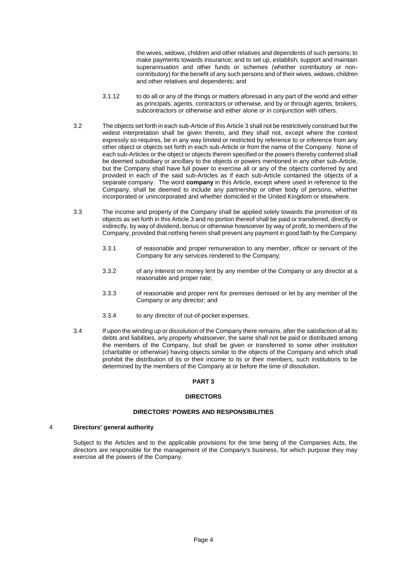the wives, widows, children and other relatives and dependents of such persons; to make payments towards insurance; and to set up, establish, support and maintain superannuation and other funds or schemes (whether contributory or noncontributory) for the benefit of any such persons and of their wives, widows, children and other relatives and dependents; and

- <span id="page-8-2"></span>3.1.12 to do all or any of the things or matters aforesaid in any part of the world and either as principals, agents, contractors or otherwise, and by or through agents, brokers, subcontractors or otherwise and either alone or in conjunction with others.
- <span id="page-8-1"></span>3.2 The objects set forth in each sub-Article of this Articl[e 3](#page-4-0) shall not be restrictively construed but the widest interpretation shall be given thereto, and they shall not, except where the context expressly so requires, be in any way limited or restricted by reference to or inference from any other object or objects set forth in each sub-Article or from the name of the Company. None of each sub-Articles or the object or objects therein specified or the powers thereby conferred shall be deemed subsidiary or ancillary to the objects or powers mentioned in any other sub-Article, but the Company shall have full power to exercise all or any of the objects conferred by and provided in each of the said sub-Articles as if each sub-Article contained the objects of a separate company. The word **company** in this Article, except where used in reference to the Company, shall be deemed to include any partnership or other body of persons, whether incorporated or unincorporated and whether domiciled in the United Kingdom or elsewhere.
- <span id="page-8-0"></span>3.3 The income and property of the Company shall be applied solely towards the promotion of its objects as set forth in this Articl[e 3](#page-4-0) and no portion thereof shall be paid or transferred, directly or indirectly, by way of dividend, bonus or otherwise howsoever by way of profit, to members of the Company, provided that nothing herein shall prevent any payment in good faith by the Company:
	- 3.3.1 of reasonable and proper remuneration to any member, officer or servant of the Company for any services rendered to the Company;
	- 3.3.2 of any interest on money lent by any member of the Company or any director at a reasonable and proper rate;
	- 3.3.3 of reasonable and proper rent for premises demised or let by any member of the Company or any director; and
	- 3.3.4 to any director of out-of-pocket expenses.
- <span id="page-8-3"></span>3.4 If upon the winding up or dissolution of the Company there remains, after the satisfaction of all its debts and liabilities, any property whatsoever, the same shall not be paid or distributed among the members of the Company, but shall be given or transferred to some other institution (charitable or otherwise) having objects similar to the objects of the Company and which shall prohibit the distribution of its or their income to its or their members, such institutions to be determined by the members of the Company at or before the time of dissolution.

#### **PART 3**

#### **DIRECTORS**

#### **DIRECTORS' POWERS AND RESPONSIBILITIES**

#### 4 **Directors' general authority**

<span id="page-8-4"></span>Subject to the Articles and to the applicable provisions for the time being of the Companies Acts, the directors are responsible for the management of the Company's business, for which purpose they may exercise all the powers of the Company.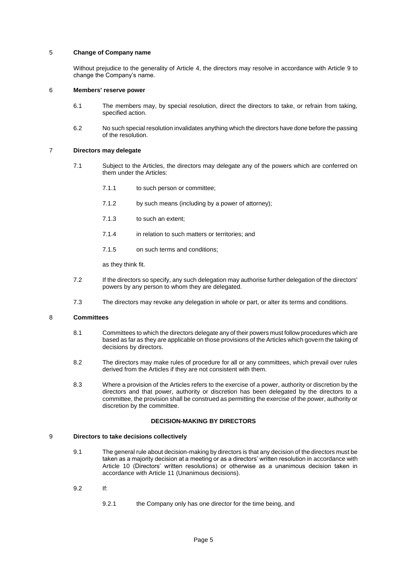#### <span id="page-9-1"></span>5 **Change of Company name**

Without prejudice to the generality of Article [4,](#page-5-0) the directors may resolve in accordance with Article [9](#page-6-0) to change the Company's name.

#### <span id="page-9-0"></span>6 **Members' reserve power**

- 6.1 The members may, by special resolution, direct the directors to take, or refrain from taking, specified action.
- 6.2 No such special resolution invalidates anything which the directors have done before the passing of the resolution.

#### 7 **Directors may delegate**

- 7.1 Subject to the Articles, the directors may delegate any of the powers which are conferred on them under the Articles:
	- 7.1.1 to such person or committee;
	- 7.1.2 by such means (including by a power of attorney);
	- 7.1.3 to such an extent;
	- 7.1.4 in relation to such matters or territories; and
	- 7.1.5 on such terms and conditions;

as they think fit.

- 7.2 If the directors so specify, any such delegation may authorise further delegation of the directors' powers by any person to whom they are delegated.
- 7.3 The directors may revoke any delegation in whole or part, or alter its terms and conditions.

#### <span id="page-9-2"></span>8 **Committees**

- 8.1 Committees to which the directors delegate any of their powers must follow procedures which are based as far as they are applicable on those provisions of the Articles which govern the taking of decisions by directors.
- 8.2 The directors may make rules of procedure for all or any committees, which prevail over rules derived from the Articles if they are not consistent with them.
- 8.3 Where a provision of the Articles refers to the exercise of a power, authority or discretion by the directors and that power, authority or discretion has been delegated by the directors to a committee, the provision shall be construed as permitting the exercise of the power, authority or discretion by the committee.

#### **DECISION-MAKING BY DIRECTORS**

#### 9 **Directors to take decisions collectively**

- 9.1 The general rule about decision-making by directors is that any decision of the directors must be taken as a majority decision at a meeting or as a directors' written resolution in accordance with Article [10](#page-7-0) (Directors' written resolutions) or otherwise as a unanimous decision taken in accordance with Article [11](#page-7-1) (Unanimous decisions).
- 9.2 If:
	- 9.2.1 the Company only has one director for the time being, and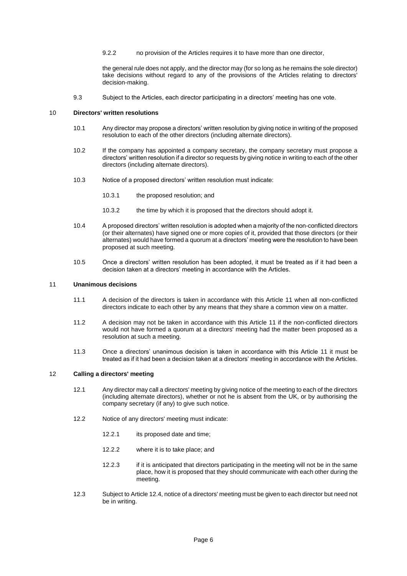9.2.2 no provision of the Articles requires it to have more than one director,

the general rule does not apply, and the director may (for so long as he remains the sole director) take decisions without regard to any of the provisions of the Articles relating to directors' decision-making.

9.3 Subject to the Articles, each director participating in a directors' meeting has one vote.

#### 10 **Directors' written resolutions**

- 10.1 Any director may propose a directors' written resolution by giving notice in writing of the proposed resolution to each of the other directors (including alternate directors).
- 10.2 If the company has appointed a company secretary, the company secretary must propose a directors' written resolution if a director so requests by giving notice in writing to each of the other directors (including alternate directors).
- 10.3 Notice of a proposed directors' written resolution must indicate:
	- 10.3.1 the proposed resolution; and
	- 10.3.2 the time by which it is proposed that the directors should adopt it.
- 10.4 A proposed directors' written resolution is adopted when a majority of the non-conflicted directors (or their alternates) have signed one or more copies of it, provided that those directors (or their alternates) would have formed a quorum at a directors' meeting were the resolution to have been proposed at such meeting.
- 10.5 Once a directors' written resolution has been adopted, it must be treated as if it had been a decision taken at a directors' meeting in accordance with the Articles.

#### 11 **Unanimous decisions**

- 11.1 A decision of the directors is taken in accordance with this Article [11](#page-7-1) when all non-conflicted directors indicate to each other by any means that they share a common view on a matter.
- 11.2 A decision may not be taken in accordance with this Article [11](#page-7-1) if the non-conflicted directors would not have formed a quorum at a directors' meeting had the matter been proposed as a resolution at such a meeting.
- 11.3 Once a directors' unanimous decision is taken in accordance with this Article [11](#page-7-1) it must be treated as if it had been a decision taken at a directors' meeting in accordance with the Articles.

#### 12 **Calling a directors' meeting**

- 12.1 Any director may call a directors' meeting by giving notice of the meeting to each of the directors (including alternate directors), whether or not he is absent from the UK, or by authorising the company secretary (if any) to give such notice.
- 12.2 Notice of any directors' meeting must indicate:
	- 12.2.1 its proposed date and time;
	- 12.2.2 where it is to take place; and
	- 12.2.3 if it is anticipated that directors participating in the meeting will not be in the same place, how it is proposed that they should communicate with each other during the meeting.
- <span id="page-10-0"></span>12.3 Subject to Articl[e 12.4,](#page-8-2) notice of a directors' meeting must be given to each director but need not be in writing.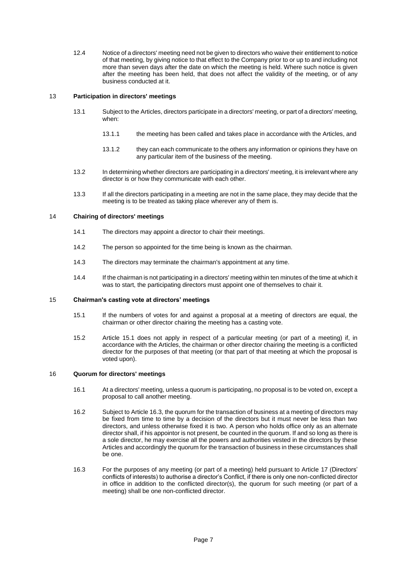12.4 Notice of a directors' meeting need not be given to directors who waive their entitlement to notice of that meeting, by giving notice to that effect to the Company prior to or up to and including not more than seven days after the date on which the meeting is held. Where such notice is given after the meeting has been held, that does not affect the validity of the meeting, or of any business conducted at it.

#### 13 **Participation in directors' meetings**

- 13.1 Subject to the Articles, directors participate in a directors' meeting, or part of a directors' meeting, when:
	- 13.1.1 the meeting has been called and takes place in accordance with the Articles, and
	- 13.1.2 they can each communicate to the others any information or opinions they have on any particular item of the business of the meeting.
- 13.2 In determining whether directors are participating in a directors' meeting, it is irrelevant where any director is or how they communicate with each other.
- 13.3 If all the directors participating in a meeting are not in the same place, they may decide that the meeting is to be treated as taking place wherever any of them is.

#### 14 **Chairing of directors' meetings**

- 14.1 The directors may appoint a director to chair their meetings.
- <span id="page-11-0"></span>14.2 The person so appointed for the time being is known as the chairman.
- 14.3 The directors may terminate the chairman's appointment at any time.
- 14.4 If the chairman is not participating in a directors' meeting within ten minutes of the time at which it was to start, the participating directors must appoint one of themselves to chair it.

#### 15 **Chairman's casting vote at directors' meetings**

- 15.1 If the numbers of votes for and against a proposal at a meeting of directors are equal, the chairman or other director chairing the meeting has a casting vote.
- 15.2 Article [15.1](#page-8-3) does not apply in respect of a particular meeting (or part of a meeting) if, in accordance with the Articles, the chairman or other director chairing the meeting is a conflicted director for the purposes of that meeting (or that part of that meeting at which the proposal is voted upon).

#### 16 **Quorum for directors' meetings**

- 16.1 At a directors' meeting, unless a quorum is participating, no proposal is to be voted on, except a proposal to call another meeting.
- 16.2 Subject to Article [16.3,](#page-8-4) the quorum for the transaction of business at a meeting of directors may be fixed from time to time by a decision of the directors but it must never be less than two directors, and unless otherwise fixed it is two. A person who holds office only as an alternate director shall, if his appointor is not present, be counted in the quorum. If and so long as there is a sole director, he may exercise all the powers and authorities vested in the directors by these Articles and accordingly the quorum for the transaction of business in these circumstances shall be one.
- 16.3 For the purposes of any meeting (or part of a meeting) held pursuant to Article [17](#page-9-1) (Directors' conflicts of interests) to authorise a director's Conflict, if there is only one non-conflicted director in office in addition to the conflicted director(s), the quorum for such meeting (or part of a meeting) shall be one non-conflicted director.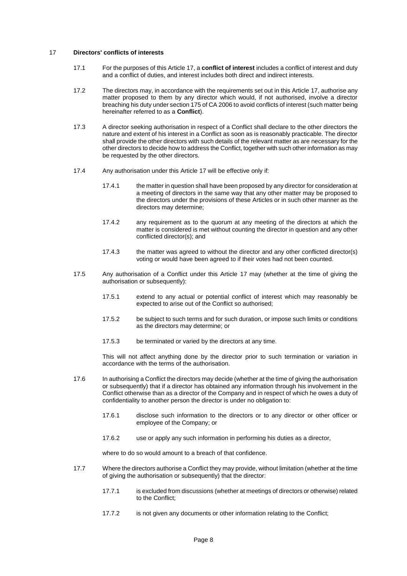#### 17 **Directors' conflicts of interests**

- 17.1 For the purposes of this Article [17,](#page-9-1) a **conflict of interest** includes a conflict of interest and duty and a conflict of duties, and interest includes both direct and indirect interests.
- 17.2 The directors may, in accordance with the requirements set out in this Articl[e 17,](#page-9-1) authorise any matter proposed to them by any director which would, if not authorised, involve a director breaching his duty under section 175 of CA 2006 to avoid conflicts of interest (such matter being hereinafter referred to as a **Conflict**).
- 17.3 A director seeking authorisation in respect of a Conflict shall declare to the other directors the nature and extent of his interest in a Conflict as soon as is reasonably practicable. The director shall provide the other directors with such details of the relevant matter as are necessary for the other directors to decide how to address the Conflict, together with such other information as may be requested by the other directors.
- 17.4 Any authorisation under this Articl[e 17](#page-9-1) will be effective only if:
	- 17.4.1 the matter in question shall have been proposed by any director for consideration at a meeting of directors in the same way that any other matter may be proposed to the directors under the provisions of these Articles or in such other manner as the directors may determine;
	- 17.4.2 any requirement as to the quorum at any meeting of the directors at which the matter is considered is met without counting the director in question and any other conflicted director(s); and
	- 17.4.3 the matter was agreed to without the director and any other conflicted director(s) voting or would have been agreed to if their votes had not been counted.
- <span id="page-12-0"></span>17.5 Any authorisation of a Conflict under this Article [17](#page-9-1) may (whether at the time of giving the authorisation or subsequently):
	- 17.5.1 extend to any actual or potential conflict of interest which may reasonably be expected to arise out of the Conflict so authorised;
	- 17.5.2 be subject to such terms and for such duration, or impose such limits or conditions as the directors may determine; or
	- 17.5.3 be terminated or varied by the directors at any time.

This will not affect anything done by the director prior to such termination or variation in accordance with the terms of the authorisation.

- 17.6 In authorising a Conflict the directors may decide (whether at the time of giving the authorisation or subsequently) that if a director has obtained any information through his involvement in the Conflict otherwise than as a director of the Company and in respect of which he owes a duty of confidentiality to another person the director is under no obligation to:
	- 17.6.1 disclose such information to the directors or to any director or other officer or employee of the Company; or
	- 17.6.2 use or apply any such information in performing his duties as a director,

where to do so would amount to a breach of that confidence.

- 17.7 Where the directors authorise a Conflict they may provide, without limitation (whether at the time of giving the authorisation or subsequently) that the director:
	- 17.7.1 is excluded from discussions (whether at meetings of directors or otherwise) related to the Conflict;
	- 17.7.2 is not given any documents or other information relating to the Conflict;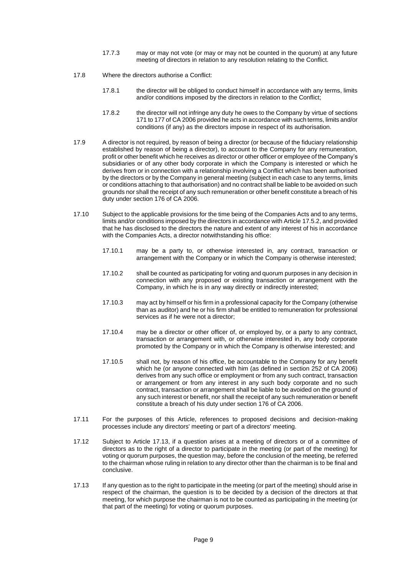- 17.7.3 may or may not vote (or may or may not be counted in the quorum) at any future meeting of directors in relation to any resolution relating to the Conflict.
- 17.8 Where the directors authorise a Conflict:
	- 17.8.1 the director will be obliged to conduct himself in accordance with any terms, limits and/or conditions imposed by the directors in relation to the Conflict;
	- 17.8.2 the director will not infringe any duty he owes to the Company by virtue of sections 171 to 177 of CA 2006 provided he acts in accordance with such terms, limits and/or conditions (if any) as the directors impose in respect of its authorisation.
- 17.9 A director is not required, by reason of being a director (or because of the fiduciary relationship established by reason of being a director), to account to the Company for any remuneration, profit or other benefit which he receives as director or other officer or employee of the Company's subsidiaries or of any other body corporate in which the Company is interested or which he derives from or in connection with a relationship involving a Conflict which has been authorised by the directors or by the Company in general meeting (subject in each case to any terms, limits or conditions attaching to that authorisation) and no contract shall be liable to be avoided on such grounds nor shall the receipt of any such remuneration or other benefit constitute a breach of his duty under section 176 of CA 2006.
- 17.10 Subject to the applicable provisions for the time being of the Companies Acts and to any terms, limits and/or conditions imposed by the directors in accordance with Articl[e 17.5.2,](#page-9-2) and provided that he has disclosed to the directors the nature and extent of any interest of his in accordance with the Companies Acts, a director notwithstanding his office:
	- 17.10.1 may be a party to, or otherwise interested in, any contract, transaction or arrangement with the Company or in which the Company is otherwise interested;
	- 17.10.2 shall be counted as participating for voting and quorum purposes in any decision in connection with any proposed or existing transaction or arrangement with the Company, in which he is in any way directly or indirectly interested;
	- 17.10.3 may act by himself or his firm in a professional capacity for the Company (otherwise than as auditor) and he or his firm shall be entitled to remuneration for professional services as if he were not a director;
	- 17.10.4 may be a director or other officer of, or employed by, or a party to any contract, transaction or arrangement with, or otherwise interested in, any body corporate promoted by the Company or in which the Company is otherwise interested; and
	- 17.10.5 shall not, by reason of his office, be accountable to the Company for any benefit which he (or anyone connected with him (as defined in section 252 of CA 2006) derives from any such office or employment or from any such contract, transaction or arrangement or from any interest in any such body corporate and no such contract, transaction or arrangement shall be liable to be avoided on the ground of any such interest or benefit, nor shall the receipt of any such remuneration or benefit constitute a breach of his duty under section 176 of CA 2006.
- 17.11 For the purposes of this Article, references to proposed decisions and decision-making processes include any directors' meeting or part of a directors' meeting.
- 17.12 Subject to Article [17.13,](#page-10-0) if a question arises at a meeting of directors or of a committee of directors as to the right of a director to participate in the meeting (or part of the meeting) for voting or quorum purposes, the question may, before the conclusion of the meeting, be referred to the chairman whose ruling in relation to any director other than the chairman is to be final and conclusive.
- 17.13 If any question as to the right to participate in the meeting (or part of the meeting) should arise in respect of the chairman, the question is to be decided by a decision of the directors at that meeting, for which purpose the chairman is not to be counted as participating in the meeting (or that part of the meeting) for voting or quorum purposes.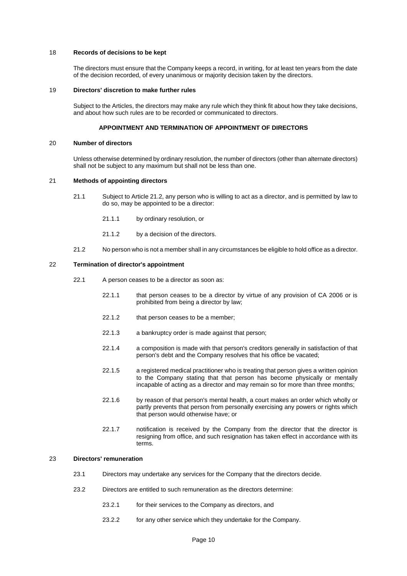#### 18 **Records of decisions to be kept**

The directors must ensure that the Company keeps a record, in writing, for at least ten years from the date of the decision recorded, of every unanimous or majority decision taken by the directors.

#### 19 **Directors' discretion to make further rules**

Subject to the Articles, the directors may make any rule which they think fit about how they take decisions, and about how such rules are to be recorded or communicated to directors.

#### **APPOINTMENT AND TERMINATION OF APPOINTMENT OF DIRECTORS**

#### 20 **Number of directors**

Unless otherwise determined by ordinary resolution, the number of directors (other than alternate directors) shall not be subject to any maximum but shall not be less than one.

#### <span id="page-14-1"></span><span id="page-14-0"></span>21 **Methods of appointing directors**

- 21.1 Subject to Articl[e 21.2,](#page-11-0) any person who is willing to act as a director, and is permitted by law to do so, may be appointed to be a director:
	- 21.1.1 by ordinary resolution, or
	- 21.1.2 by a decision of the directors.
- 21.2 No person who is not a member shall in any circumstances be eligible to hold office as a director.

#### 22 **Termination of director's appointment**

- 22.1 A person ceases to be a director as soon as:
	- 22.1.1 that person ceases to be a director by virtue of any provision of CA 2006 or is prohibited from being a director by law;
	- 22.1.2 that person ceases to be a member;
	- 22.1.3 a bankruptcy order is made against that person;
	- 22.1.4 a composition is made with that person's creditors generally in satisfaction of that person's debt and the Company resolves that his office be vacated;
	- 22.1.5 a registered medical practitioner who is treating that person gives a written opinion to the Company stating that that person has become physically or mentally incapable of acting as a director and may remain so for more than three months;
	- 22.1.6 by reason of that person's mental health, a court makes an order which wholly or partly prevents that person from personally exercising any powers or rights which that person would otherwise have; or
	- 22.1.7 notification is received by the Company from the director that the director is resigning from office, and such resignation has taken effect in accordance with its terms.

#### 23 **Directors' remuneration**

- 23.1 Directors may undertake any services for the Company that the directors decide.
- <span id="page-14-2"></span>23.2 Directors are entitled to such remuneration as the directors determine:
	- 23.2.1 for their services to the Company as directors, and
	- 23.2.2 for any other service which they undertake for the Company.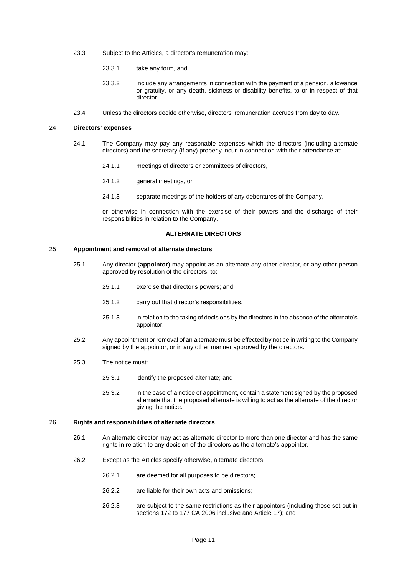- 23.3 Subject to the Articles, a director's remuneration may:
	- 23.3.1 take any form, and
	- 23.3.2 include any arrangements in connection with the payment of a pension, allowance or gratuity, or any death, sickness or disability benefits, to or in respect of that director.
- 23.4 Unless the directors decide otherwise, directors' remuneration accrues from day to day.

#### 24 **Directors' expenses**

- 24.1 The Company may pay any reasonable expenses which the directors (including alternate directors) and the secretary (if any) properly incur in connection with their attendance at:
	- 24.1.1 meetings of directors or committees of directors,
	- 24.1.2 general meetings, or
	- 24.1.3 separate meetings of the holders of any debentures of the Company,

or otherwise in connection with the exercise of their powers and the discharge of their responsibilities in relation to the Company.

#### **ALTERNATE DIRECTORS**

#### 25 **Appointment and removal of alternate directors**

- 25.1 Any director (**appointor**) may appoint as an alternate any other director, or any other person approved by resolution of the directors, to:
	- 25.1.1 exercise that director's powers; and
	- 25.1.2 carry out that director's responsibilities,
	- 25.1.3 in relation to the taking of decisions by the directors in the absence of the alternate's appointor.
- 25.2 Any appointment or removal of an alternate must be effected by notice in writing to the Company signed by the appointor, or in any other manner approved by the directors.
- 25.3 The notice must:
	- 25.3.1 identify the proposed alternate; and
	- 25.3.2 in the case of a notice of appointment, contain a statement signed by the proposed alternate that the proposed alternate is willing to act as the alternate of the director giving the notice.

#### <span id="page-15-0"></span>26 **Rights and responsibilities of alternate directors**

- 26.1 An alternate director may act as alternate director to more than one director and has the same rights in relation to any decision of the directors as the alternate's appointor.
- 26.2 Except as the Articles specify otherwise, alternate directors:
	- 26.2.1 are deemed for all purposes to be directors;
	- 26.2.2 are liable for their own acts and omissions;
	- 26.2.3 are subject to the same restrictions as their appointors (including those set out in sections 172 to 177 CA 2006 inclusive and Articl[e 17\)](#page-9-1); and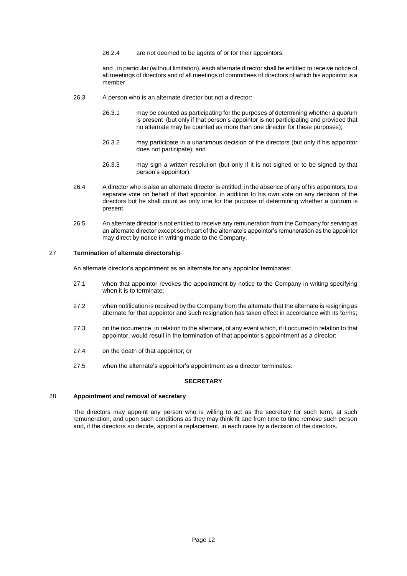26.2.4 are not deemed to be agents of or for their appointors,

and , in particular (without limitation), each alternate director shall be entitled to receive notice of all meetings of directors and of all meetings of committees of directors of which his appointor is a member.

- 26.3 A person who is an alternate director but not a director:
	- 26.3.1 may be counted as participating for the purposes of determining whether a quorum is present (but only if that person's appointor is not participating and provided that no alternate may be counted as more than one director for these purposes);
	- 26.3.2 may participate in a unanimous decision of the directors (but only if his appointor does not participate); and
	- 26.3.3 may sign a written resolution (but only if it is not signed or to be signed by that person's appointor).
- 26.4 A director who is also an alternate director is entitled, in the absence of any of his appointors, to a separate vote on behalf of that appointor, in addition to his own vote on any decision of the directors but he shall count as only one for the purpose of determining whether a quorum is present.
- 26.5 An alternate director is not entitled to receive any remuneration from the Company for serving as an alternate director except such part of the alternate's appointor's remuneration as the appointor may direct by notice in writing made to the Company.

#### 27 **Termination of alternate directorship**

An alternate director's appointment as an alternate for any appointor terminates:

- 27.1 when that appointor revokes the appointment by notice to the Company in writing specifying when it is to terminate;
- 27.2 when notification is received by the Company from the alternate that the alternate is resigning as alternate for that appointor and such resignation has taken effect in accordance with its terms;
- 27.3 on the occurrence, in relation to the alternate, of any event which, if it occurred in relation to that appointor, would result in the termination of that appointor's appointment as a director;
- 27.4 on the death of that appointor; or
- 27.5 when the alternate's appointor's appointment as a director terminates.

#### **SECRETARY**

#### 28 **Appointment and removal of secretary**

The directors may appoint any person who is willing to act as the secretary for such term, at such remuneration, and upon such conditions as they may think fit and from time to time remove such person and, if the directors so decide, appoint a replacement, in each case by a decision of the directors.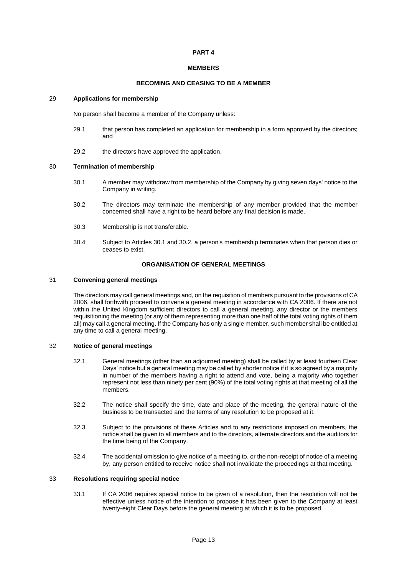#### **PART 4**

#### **MEMBERS**

#### **BECOMING AND CEASING TO BE A MEMBER**

#### 29 **Applications for membership**

No person shall become a member of the Company unless:

- 29.1 that person has completed an application for membership in a form approved by the directors; and
- 29.2 the directors have approved the application.

#### 30 **Termination of membership**

- 30.1 A member may withdraw from membership of the Company by giving seven days' notice to the Company in writing.
- 30.2 The directors may terminate the membership of any member provided that the member concerned shall have a right to be heard before any final decision is made.
- 30.3 Membership is not transferable.
- 30.4 Subject to Article[s 30.1](#page-14-0) and [30.2,](#page-14-1) a person's membership terminates when that person dies or ceases to exist.

#### **ORGANISATION OF GENERAL MEETINGS**

#### 31 **Convening general meetings**

The directors may call general meetings and, on the requisition of members pursuant to the provisions of CA 2006, shall forthwith proceed to convene a general meeting in accordance with CA 2006. If there are not within the United Kingdom sufficient directors to call a general meeting, any director or the members requisitioning the meeting (or any of them representing more than one half of the total voting rights of them all) may call a general meeting. If the Company has only a single member, such member shall be entitled at any time to call a general meeting.

#### 32 **Notice of general meetings**

- 32.1 General meetings (other than an adjourned meeting) shall be called by at least fourteen Clear Days' notice but a general meeting may be called by shorter notice if it is so agreed by a majority in number of the members having a right to attend and vote, being a majority who together represent not less than ninety per cent (90%) of the total voting rights at that meeting of all the members.
- 32.2 The notice shall specify the time, date and place of the meeting, the general nature of the business to be transacted and the terms of any resolution to be proposed at it.
- 32.3 Subject to the provisions of these Articles and to any restrictions imposed on members, the notice shall be given to all members and to the directors, alternate directors and the auditors for the time being of the Company.
- 32.4 The accidental omission to give notice of a meeting to, or the non-receipt of notice of a meeting by, any person entitled to receive notice shall not invalidate the proceedings at that meeting.

#### 33 **Resolutions requiring special notice**

33.1 If CA 2006 requires special notice to be given of a resolution, then the resolution will not be effective unless notice of the intention to propose it has been given to the Company at least twenty-eight Clear Days before the general meeting at which it is to be proposed.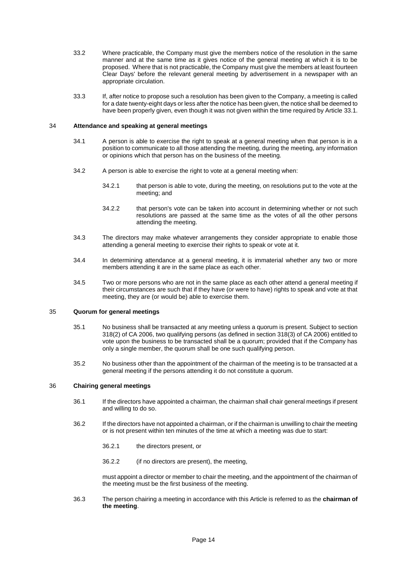- 33.2 Where practicable, the Company must give the members notice of the resolution in the same manner and at the same time as it gives notice of the general meeting at which it is to be proposed. Where that is not practicable, the Company must give the members at least fourteen Clear Days' before the relevant general meeting by advertisement in a newspaper with an appropriate circulation.
- <span id="page-18-3"></span>33.3 If, after notice to propose such a resolution has been given to the Company, a meeting is called for a date twenty-eight days or less after the notice has been given, the notice shall be deemed to have been properly given, even though it was not given within the time required by Article [33.1.](#page-14-2)

#### <span id="page-18-0"></span>34 **Attendance and speaking at general meetings**

- 34.1 A person is able to exercise the right to speak at a general meeting when that person is in a position to communicate to all those attending the meeting, during the meeting, any information or opinions which that person has on the business of the meeting.
- 34.2 A person is able to exercise the right to vote at a general meeting when:
	- 34.2.1 that person is able to vote, during the meeting, on resolutions put to the vote at the meeting; and
	- 34.2.2 that person's vote can be taken into account in determining whether or not such resolutions are passed at the same time as the votes of all the other persons attending the meeting.
- 34.3 The directors may make whatever arrangements they consider appropriate to enable those attending a general meeting to exercise their rights to speak or vote at it.
- <span id="page-18-1"></span>34.4 In determining attendance at a general meeting, it is immaterial whether any two or more members attending it are in the same place as each other.
- 34.5 Two or more persons who are not in the same place as each other attend a general meeting if their circumstances are such that if they have (or were to have) rights to speak and vote at that meeting, they are (or would be) able to exercise them.

#### <span id="page-18-2"></span>35 **Quorum for general meetings**

- 35.1 No business shall be transacted at any meeting unless a quorum is present. Subject to section 318(2) of CA 2006, two qualifying persons (as defined in section 318(3) of CA 2006) entitled to vote upon the business to be transacted shall be a quorum; provided that if the Company has only a single member, the quorum shall be one such qualifying person.
- 35.2 No business other than the appointment of the chairman of the meeting is to be transacted at a general meeting if the persons attending it do not constitute a quorum.

#### 36 **Chairing general meetings**

- 36.1 If the directors have appointed a chairman, the chairman shall chair general meetings if present and willing to do so.
- 36.2 If the directors have not appointed a chairman, or if the chairman is unwilling to chair the meeting or is not present within ten minutes of the time at which a meeting was due to start:
	- 36.2.1 the directors present, or
	- 36.2.2 (if no directors are present), the meeting,

must appoint a director or member to chair the meeting, and the appointment of the chairman of the meeting must be the first business of the meeting.

36.3 The person chairing a meeting in accordance with this Article is referred to as the **chairman of the meeting**.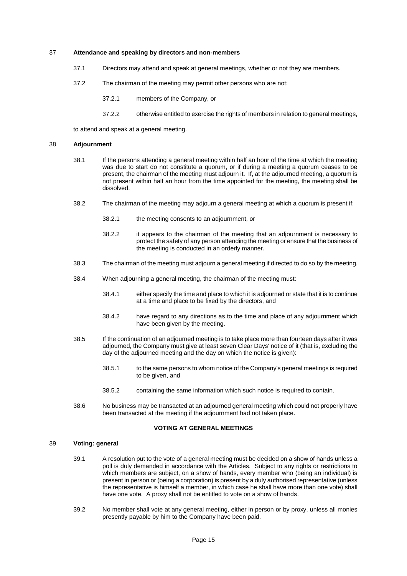#### <span id="page-19-2"></span><span id="page-19-1"></span>37 **Attendance and speaking by directors and non-members**

- 37.1 Directors may attend and speak at general meetings, whether or not they are members.
- 37.2 The chairman of the meeting may permit other persons who are not:
	- 37.2.1 members of the Company, or
	- 37.2.2 otherwise entitled to exercise the rights of members in relation to general meetings,

to attend and speak at a general meeting.

#### 38 **Adjournment**

- 38.1 If the persons attending a general meeting within half an hour of the time at which the meeting was due to start do not constitute a quorum, or if during a meeting a quorum ceases to be present, the chairman of the meeting must adjourn it. If, at the adjourned meeting, a quorum is not present within half an hour from the time appointed for the meeting, the meeting shall be dissolved.
- 38.2 The chairman of the meeting may adjourn a general meeting at which a quorum is present if:
	- 38.2.1 the meeting consents to an adjournment, or
	- 38.2.2 it appears to the chairman of the meeting that an adjournment is necessary to protect the safety of any person attending the meeting or ensure that the business of the meeting is conducted in an orderly manner.
- 38.3 The chairman of the meeting must adjourn a general meeting if directed to do so by the meeting.
- 38.4 When adjourning a general meeting, the chairman of the meeting must:
	- 38.4.1 either specify the time and place to which it is adjourned or state that it is to continue at a time and place to be fixed by the directors, and
	- 38.4.2 have regard to any directions as to the time and place of any adjournment which have been given by the meeting.
- <span id="page-19-0"></span>38.5 If the continuation of an adjourned meeting is to take place more than fourteen days after it was adjourned, the Company must give at least seven Clear Days' notice of it (that is, excluding the day of the adjourned meeting and the day on which the notice is given):
	- 38.5.1 to the same persons to whom notice of the Company's general meetings is required to be given, and
	- 38.5.2 containing the same information which such notice is required to contain.
- 38.6 No business may be transacted at an adjourned general meeting which could not properly have been transacted at the meeting if the adjournment had not taken place.

#### **VOTING AT GENERAL MEETINGS**

#### 39 **Voting: general**

- 39.1 A resolution put to the vote of a general meeting must be decided on a show of hands unless a poll is duly demanded in accordance with the Articles. Subject to any rights or restrictions to which members are subject, on a show of hands, every member who (being an individual) is present in person or (being a corporation) is present by a duly authorised representative (unless the representative is himself a member, in which case he shall have more than one vote) shall have one vote. A proxy shall not be entitled to vote on a show of hands.
- 39.2 No member shall vote at any general meeting, either in person or by proxy, unless all monies presently payable by him to the Company have been paid.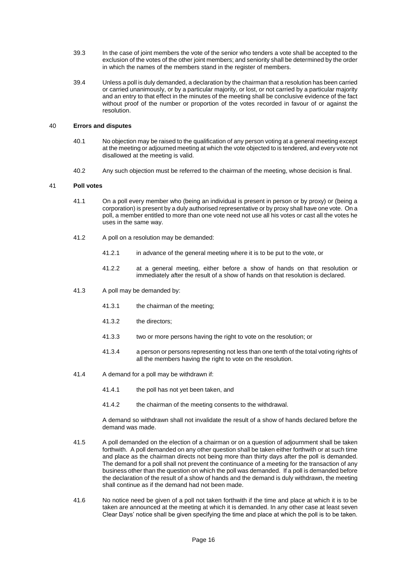- 39.3 In the case of joint members the vote of the senior who tenders a vote shall be accepted to the exclusion of the votes of the other joint members; and seniority shall be determined by the order in which the names of the members stand in the register of members.
- 39.4 Unless a poll is duly demanded, a declaration by the chairman that a resolution has been carried or carried unanimously, or by a particular majority, or lost, or not carried by a particular majority and an entry to that effect in the minutes of the meeting shall be conclusive evidence of the fact without proof of the number or proportion of the votes recorded in favour of or against the resolution.

#### 40 **Errors and disputes**

- 40.1 No objection may be raised to the qualification of any person voting at a general meeting except at the meeting or adjourned meeting at which the vote objected to is tendered, and every vote not disallowed at the meeting is valid.
- 40.2 Any such objection must be referred to the chairman of the meeting, whose decision is final.

#### 41 **Poll votes**

- 41.1 On a poll every member who (being an individual is present in person or by proxy) or (being a corporation) is present by a duly authorised representative or by proxy shall have one vote. On a poll, a member entitled to more than one vote need not use all his votes or cast all the votes he uses in the same way.
- <span id="page-20-0"></span>41.2 A poll on a resolution may be demanded:
	- 41.2.1 in advance of the general meeting where it is to be put to the vote, or
	- 41.2.2 at a general meeting, either before a show of hands on that resolution or immediately after the result of a show of hands on that resolution is declared.
- 41.3 A poll may be demanded by:
	- 41.3.1 the chairman of the meeting;
	- 41.3.2 the directors;
	- 41.3.3 two or more persons having the right to vote on the resolution; or
	- 41.3.4 a person or persons representing not less than one tenth of the total voting rights of all the members having the right to vote on the resolution.
- 41.4 A demand for a poll may be withdrawn if:
	- 41.4.1 the poll has not yet been taken, and
	- 41.4.2 the chairman of the meeting consents to the withdrawal.

A demand so withdrawn shall not invalidate the result of a show of hands declared before the demand was made.

- 41.5 A poll demanded on the election of a chairman or on a question of adjournment shall be taken forthwith. A poll demanded on any other question shall be taken either forthwith or at such time and place as the chairman directs not being more than thirty days after the poll is demanded. The demand for a poll shall not prevent the continuance of a meeting for the transaction of any business other than the question on which the poll was demanded. If a poll is demanded before the declaration of the result of a show of hands and the demand is duly withdrawn, the meeting shall continue as if the demand had not been made.
- 41.6 No notice need be given of a poll not taken forthwith if the time and place at which it is to be taken are announced at the meeting at which it is demanded. In any other case at least seven Clear Days' notice shall be given specifying the time and place at which the poll is to be taken.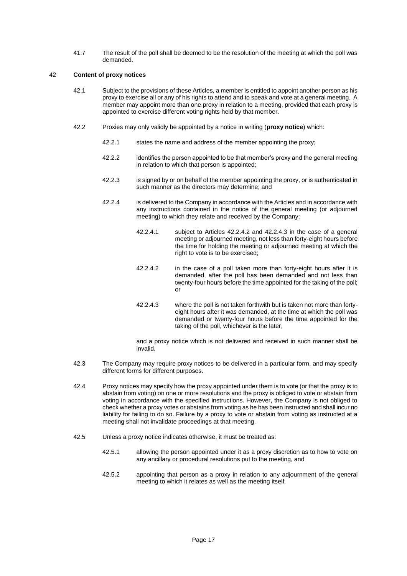41.7 The result of the poll shall be deemed to be the resolution of the meeting at which the poll was demanded.

#### 42 **Content of proxy notices**

- 42.1 Subject to the provisions of these Articles, a member is entitled to appoint another person as his proxy to exercise all or any of his rights to attend and to speak and vote at a general meeting. A member may appoint more than one proxy in relation to a meeting, provided that each proxy is appointed to exercise different voting rights held by that member.
- 42.2 Proxies may only validly be appointed by a notice in writing (**proxy notice**) which:
	- 42.2.1 states the name and address of the member appointing the proxy;
	- 42.2.2 identifies the person appointed to be that member's proxy and the general meeting in relation to which that person is appointed;
	- 42.2.3 is signed by or on behalf of the member appointing the proxy, or is authenticated in such manner as the directors may determine; and
	- 42.2.4 is delivered to the Company in accordance with the Articles and in accordance with any instructions contained in the notice of the general meeting (or adjourned meeting) to which they relate and received by the Company:
		- 42.2.4.1 subject to Articles [42.2.4.2](#page-18-1) and [42.2.4.3](#page-18-2) in the case of a general meeting or adjourned meeting, not less than forty-eight hours before the time for holding the meeting or adjourned meeting at which the right to vote is to be exercised;
		- 42.2.4.2 in the case of a poll taken more than forty-eight hours after it is demanded, after the poll has been demanded and not less than twenty-four hours before the time appointed for the taking of the poll; or
		- 42.2.4.3 where the poll is not taken forthwith but is taken not more than fortyeight hours after it was demanded, at the time at which the poll was demanded or twenty-four hours before the time appointed for the taking of the poll, whichever is the later,

and a proxy notice which is not delivered and received in such manner shall be invalid.

- <span id="page-21-1"></span><span id="page-21-0"></span>42.3 The Company may require proxy notices to be delivered in a particular form, and may specify different forms for different purposes.
- 42.4 Proxy notices may specify how the proxy appointed under them is to vote (or that the proxy is to abstain from voting) on one or more resolutions and the proxy is obliged to vote or abstain from voting in accordance with the specified instructions. However, the Company is not obliged to check whether a proxy votes or abstains from voting as he has been instructed and shall incur no liability for failing to do so. Failure by a proxy to vote or abstain from voting as instructed at a meeting shall not invalidate proceedings at that meeting.
- 42.5 Unless a proxy notice indicates otherwise, it must be treated as:
	- 42.5.1 allowing the person appointed under it as a proxy discretion as to how to vote on any ancillary or procedural resolutions put to the meeting, and
	- 42.5.2 appointing that person as a proxy in relation to any adjournment of the general meeting to which it relates as well as the meeting itself.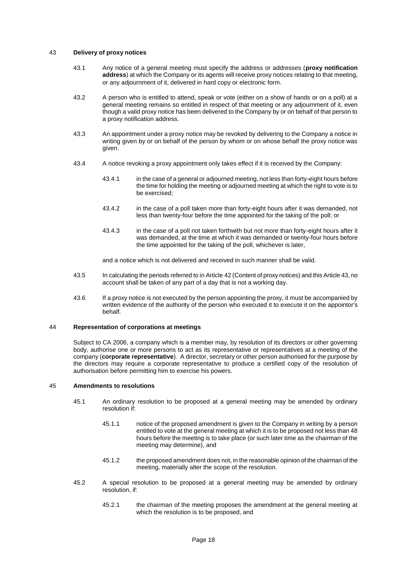#### <span id="page-22-3"></span>43 **Delivery of proxy notices**

- 43.1 Any notice of a general meeting must specify the address or addresses (**proxy notification address**) at which the Company or its agents will receive proxy notices relating to that meeting, or any adjournment of it, delivered in hard copy or electronic form.
- <span id="page-22-0"></span>43.2 A person who is entitled to attend, speak or vote (either on a show of hands or on a poll) at a general meeting remains so entitled in respect of that meeting or any adjournment of it, even though a valid proxy notice has been delivered to the Company by or on behalf of that person to a proxy notification address.
- 43.3 An appointment under a proxy notice may be revoked by delivering to the Company a notice in writing given by or on behalf of the person by whom or on whose behalf the proxy notice was given.
- <span id="page-22-4"></span><span id="page-22-1"></span>43.4 A notice revoking a proxy appointment only takes effect if it is received by the Company:
	- 43.4.1 in the case of a general or adjourned meeting, not less than forty-eight hours before the time for holding the meeting or adjourned meeting at which the right to vote is to be exercised;
	- 43.4.2 in the case of a poll taken more than forty-eight hours after it was demanded, not less than twenty-four before the time appointed for the taking of the poll; or
	- 43.4.3 in the case of a poll not taken forthwith but not more than forty-eight hours after it was demanded, at the time at which it was demanded or twenty-four hours before the time appointed for the taking of the poll, whichever is later,

and a notice which is not delivered and received in such manner shall be valid.

- <span id="page-22-2"></span>43.5 In calculating the periods referred to in Articl[e 42](#page-18-3) (Content of proxy notices) and this Articl[e 43,](#page-19-2) no account shall be taken of any part of a day that is not a working day.
- 43.6 If a proxy notice is not executed by the person appointing the proxy, it must be accompanied by written evidence of the authority of the person who executed it to execute it on the appointor's behalf.

#### 44 **Representation of corporations at meetings**

Subject to CA 2006, a company which is a member may, by resolution of its directors or other governing body, authorise one or more persons to act as its representative or representatives at a meeting of the company (**corporate representative**). A director, secretary or other person authorised for the purpose by the directors may require a corporate representative to produce a certified copy of the resolution of authorisation before permitting him to exercise his powers.

#### 45 **Amendments to resolutions**

- 45.1 An ordinary resolution to be proposed at a general meeting may be amended by ordinary resolution if:
	- 45.1.1 notice of the proposed amendment is given to the Company in writing by a person entitled to vote at the general meeting at which it is to be proposed not less than 48 hours before the meeting is to take place (or such later time as the chairman of the meeting may determine), and
	- 45.1.2 the proposed amendment does not, in the reasonable opinion of the chairman of the meeting, materially alter the scope of the resolution.
- 45.2 A special resolution to be proposed at a general meeting may be amended by ordinary resolution, if:
	- 45.2.1 the chairman of the meeting proposes the amendment at the general meeting at which the resolution is to be proposed, and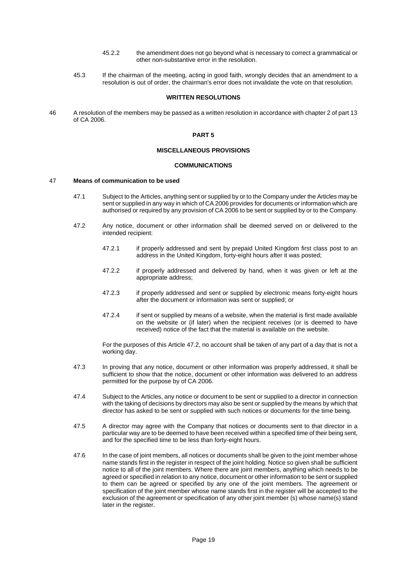- 45.2.2 the amendment does not go beyond what is necessary to correct a grammatical or other non-substantive error in the resolution.
- 45.3 If the chairman of the meeting, acting in good faith, wrongly decides that an amendment to a resolution is out of order, the chairman's error does not invalidate the vote on that resolution.

#### **WRITTEN RESOLUTIONS**

46 A resolution of the members may be passed as a written resolution in accordance with chapter 2 of part 13 of CA 2006.

#### **PART 5**

#### **MISCELLANEOUS PROVISIONS**

#### **COMMUNICATIONS**

#### 47 **Means of communication to be used**

- 47.1 Subject to the Articles, anything sent or supplied by or to the Company under the Articles may be sent or supplied in any way in which of CA 2006 provides for documents or information which are authorised or required by any provision of CA 2006 to be sent or supplied by or to the Company.
- 47.2 Any notice, document or other information shall be deemed served on or delivered to the intended recipient:
	- 47.2.1 if properly addressed and sent by prepaid United Kingdom first class post to an address in the United Kingdom, forty-eight hours after it was posted;
	- 47.2.2 if properly addressed and delivered by hand, when it was given or left at the appropriate address;
	- 47.2.3 if properly addressed and sent or supplied by electronic means forty-eight hours after the document or information was sent or supplied; or
	- 47.2.4 if sent or supplied by means of a website, when the material is first made available on the website or (if later) when the recipient receives (or is deemed to have received) notice of the fact that the material is available on the website.

For the purposes of this Articl[e 47.2,](#page-20-0) no account shall be taken of any part of a day that is not a working day.

- 47.3 In proving that any notice, document or other information was properly addressed, it shall be sufficient to show that the notice, document or other information was delivered to an address permitted for the purpose by of CA 2006.
- 47.4 Subject to the Articles, any notice or document to be sent or supplied to a director in connection with the taking of decisions by directors may also be sent or supplied by the means by which that director has asked to be sent or supplied with such notices or documents for the time being.
- 47.5 A director may agree with the Company that notices or documents sent to that director in a particular way are to be deemed to have been received within a specified time of their being sent, and for the specified time to be less than forty-eight hours.
- 47.6 In the case of joint members, all notices or documents shall be given to the joint member whose name stands first in the register in respect of the joint holding. Notice so given shall be sufficient notice to all of the joint members. Where there are joint members, anything which needs to be agreed or specified in relation to any notice, document or other information to be sent or supplied to them can be agreed or specified by any one of the joint members. The agreement or specification of the joint member whose name stands first in the register will be accepted to the exclusion of the agreement or specification of any other joint member (s) whose name(s) stand later in the register.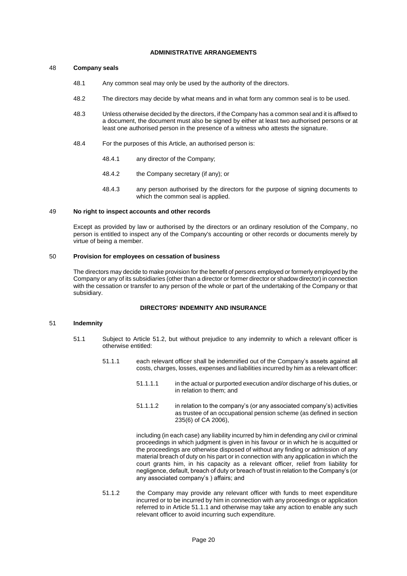#### **ADMINISTRATIVE ARRANGEMENTS**

#### 48 **Company seals**

- 48.1 Any common seal may only be used by the authority of the directors.
- 48.2 The directors may decide by what means and in what form any common seal is to be used.
- 48.3 Unless otherwise decided by the directors, if the Company has a common seal and it is affixed to a document, the document must also be signed by either at least two authorised persons or at least one authorised person in the presence of a witness who attests the signature.
- 48.4 For the purposes of this Article, an authorised person is:
	- 48.4.1 any director of the Company;
	- 48.4.2 the Company secretary (if any); or
	- 48.4.3 any person authorised by the directors for the purpose of signing documents to which the common seal is applied.

#### 49 **No right to inspect accounts and other records**

Except as provided by law or authorised by the directors or an ordinary resolution of the Company, no person is entitled to inspect any of the Company's accounting or other records or documents merely by virtue of being a member.

#### 50 **Provision for employees on cessation of business**

The directors may decide to make provision for the benefit of persons employed or formerly employed by the Company or any of its subsidiaries (other than a director or former director or shadow director) in connection with the cessation or transfer to any person of the whole or part of the undertaking of the Company or that subsidiary.

#### **DIRECTORS' INDEMNITY AND INSURANCE**

#### 51 **Indemnity**

- 51.1 Subject to Article [51.2,](#page-22-3) but without prejudice to any indemnity to which a relevant officer is otherwise entitled:
	- 51.1.1 each relevant officer shall be indemnified out of the Company's assets against all costs, charges, losses, expenses and liabilities incurred by him as a relevant officer:
		- 51.1.1.1 in the actual or purported execution and/or discharge of his duties, or in relation to them; and
		- 51.1.1.2 in relation to the company's (or any associated company's) activities as trustee of an occupational pension scheme (as defined in section 235(6) of CA 2006),

including (in each case) any liability incurred by him in defending any civil or criminal proceedings in which judgment is given in his favour or in which he is acquitted or the proceedings are otherwise disposed of without any finding or admission of any material breach of duty on his part or in connection with any application in which the court grants him, in his capacity as a relevant officer, relief from liability for negligence, default, breach of duty or breach of trust in relation to the Company's (or any associated company's ) affairs; and

51.1.2 the Company may provide any relevant officer with funds to meet expenditure incurred or to be incurred by him in connection with any proceedings or application referred to in Article [51.1.1](#page-21-0) and otherwise may take any action to enable any such relevant officer to avoid incurring such expenditure.